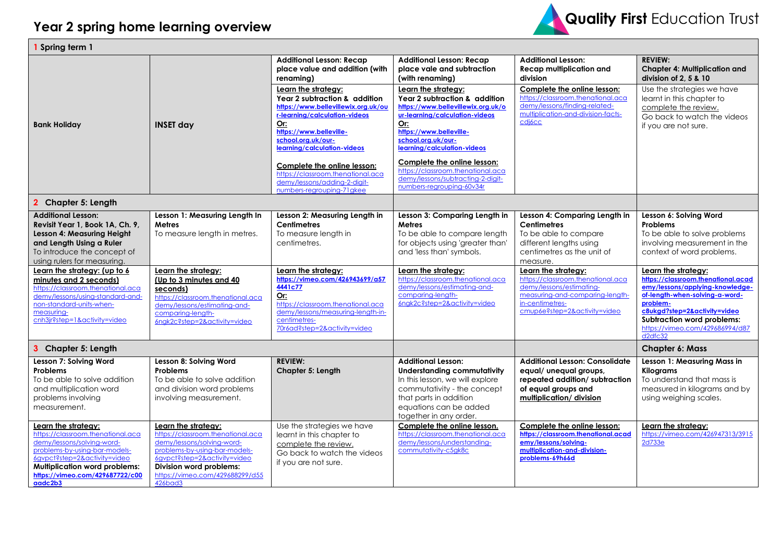

| Spring term 1                                                                                                                                                                                                                                 |                                                                                                                                                                                                                                  |                                                                                                                                                                                                                     |                                                                                                                                                                                                                     |                                                                                                                                                                            |                                                                                                                                                                                                                                                               |  |
|-----------------------------------------------------------------------------------------------------------------------------------------------------------------------------------------------------------------------------------------------|----------------------------------------------------------------------------------------------------------------------------------------------------------------------------------------------------------------------------------|---------------------------------------------------------------------------------------------------------------------------------------------------------------------------------------------------------------------|---------------------------------------------------------------------------------------------------------------------------------------------------------------------------------------------------------------------|----------------------------------------------------------------------------------------------------------------------------------------------------------------------------|---------------------------------------------------------------------------------------------------------------------------------------------------------------------------------------------------------------------------------------------------------------|--|
| <b>Bank Holiday</b>                                                                                                                                                                                                                           | <b>INSET day</b>                                                                                                                                                                                                                 | <b>Additional Lesson: Recap</b><br>place value and addition (with<br>renaming)                                                                                                                                      | <b>Additional Lesson: Recap</b><br>place vale and subtraction<br>(with renaming)                                                                                                                                    | <b>Additional Lesson:</b><br><b>Recap multiplication and</b><br>division                                                                                                   | <b>REVIEW:</b><br><b>Chapter 4: Multiplication and</b><br>division of 2, 5 & 10                                                                                                                                                                               |  |
|                                                                                                                                                                                                                                               |                                                                                                                                                                                                                                  | Learn the strategy:<br>Year 2 subtraction & addition<br>https://www.bellevillewix.org.uk/ou<br>r-learning/calculation-videos<br>Or:<br>https://www.belleville-<br>school.org.uk/our-<br>learning/calculation-videos | Learn the strategy:<br>Year 2 subtraction & addition<br>https://www.bellevillewix.org.uk/o<br>ur-learning/calculation-videos<br>Or:<br>https://www.belleville-<br>school.org.uk/our-<br>learning/calculation-videos | Complete the online lesson:<br>https://classroom.thenational.aca<br>demy/lessons/finding-related-<br>multiplication-and-division-facts-<br>cdi <sub>6</sub> cc             | Use the strategies we have<br>learnt in this chapter to<br>complete the review.<br>Go back to watch the videos<br>if you are not sure.                                                                                                                        |  |
|                                                                                                                                                                                                                                               |                                                                                                                                                                                                                                  | Complete the online lesson:<br>https://classroom.thenational.aca<br>demy/lessons/adding-2-digit-<br>numbers-regrouping-71gkee                                                                                       | Complete the online lesson:<br>https://classroom.thenational.aca<br>demy/lessons/subtracting-2-digit-<br>numbers-regrouping-60v34r                                                                                  |                                                                                                                                                                            |                                                                                                                                                                                                                                                               |  |
| <b>Chapter 5: Length</b>                                                                                                                                                                                                                      |                                                                                                                                                                                                                                  |                                                                                                                                                                                                                     |                                                                                                                                                                                                                     |                                                                                                                                                                            |                                                                                                                                                                                                                                                               |  |
| <b>Additional Lesson:</b><br>Revisit Year 1, Book 1A, Ch. 9,<br>Lesson 4: Measuring Height<br>and Length Using a Ruler<br>To introduce the concept of<br>using rulers for measuring.                                                          | Lesson 1: Measuring Length In<br><b>Metres</b><br>To measure length in metres.                                                                                                                                                   | Lesson 2: Measuring Length in<br><b>Centimetres</b><br>To measure length in<br>centimetres.                                                                                                                         | Lesson 3: Comparing Length in<br><b>Metres</b><br>To be able to compare length<br>for objects using 'greater than'<br>and 'less than' symbols.                                                                      | Lesson 4: Comparing Length in<br><b>Centimetres</b><br>To be able to compare<br>different lengths using<br>centimetres as the unit of<br>measure.                          | Lesson 6: Solving Word<br><b>Problems</b><br>To be able to solve problems<br>involving measurement in the<br>context of word problems.                                                                                                                        |  |
| Learn the strategy: (up to 6<br>minutes and 2 seconds)<br>https://classroom.thenational.aca<br>demy/lessons/using-standard-and-<br>non-standard-units-when-<br>measuring-<br>cnh3jr?step=1&activity=video                                     | Learn the strategy:<br>(Up to 3 minutes and 40<br>seconds)<br>https://classroom.thenational.aca<br>demy/lessons/estimating-and-<br>comparing-length-<br>6ngk2c?step=2&activity=video                                             | Learn the strategy:<br>https://vimeo.com/426943699/a57<br>4441c77<br>Or:<br>https://classroom.thenational.aca<br>demy/lessons/measuring-length-in-<br>centimetres-<br>70r6ad?step=2&activity=video                  | Learn the strategy:<br>https://classroom.thenational.aca<br>demy/lessons/estimating-and-<br>comparing-length-<br>6ngk2c?step=2&activity=video                                                                       | Learn the strategy:<br>https://classroom.thenational.aca<br>demy/lessons/estimating-<br>measuring-and-comparing-length-<br>in-centimetres-<br>cmup6e?step=2&activity=video | Learn the strategy:<br>https://classroom.thenational.acad<br>emy/lessons/applying-knowledge-<br>of-length-when-solving-a-word-<br>problem-<br>c8ukgd?step=2&activity=video<br><b>Subtraction word problems:</b><br>https://vimeo.com/429686994/d87<br>d2dfc32 |  |
| 3 Chapter 5: Length                                                                                                                                                                                                                           |                                                                                                                                                                                                                                  |                                                                                                                                                                                                                     |                                                                                                                                                                                                                     |                                                                                                                                                                            | <b>Chapter 6: Mass</b>                                                                                                                                                                                                                                        |  |
| Lesson 7: Solving Word<br><b>Problems</b><br>To be able to solve addition<br>and multiplication word<br>problems involving<br>measurement.                                                                                                    | Lesson 8: Solving Word<br>Problems<br>To be able to solve addition<br>and division word problems<br>involving measurement.                                                                                                       | <b>REVIEW:</b><br>Chapter 5: Length                                                                                                                                                                                 | <b>Additional Lesson:</b><br><b>Understanding commutativity</b><br>In this lesson, we will explore<br>commutativity - the concept<br>that parts in addition<br>equations can be added<br>together in any order.     | <b>Additional Lesson: Consolidate</b><br>equal/ unequal groups,<br>repeated addition/subtraction<br>of equal groups and<br>multiplication/division                         | Lesson 1: Measuring Mass in<br><b>Kilograms</b><br>To understand that mass is<br>measured in kilograms and by<br>using weighing scales.                                                                                                                       |  |
| Learn the strategy:<br>https://classroom.thenational.aca<br>demy/lessons/solving-word-<br>problems-by-using-bar-models-<br>6gvpct?step=2&activity=video<br><b>Multiplication word problems:</b><br>https://vimeo.com/429687722/c00<br>aadc2b3 | Learn the strategy:<br>https://classroom.thenational.aca<br>demy/lessons/solving-word-<br>problems-by-using-bar-models-<br>6gypct?step=2&activity=video<br>Division word problems:<br>https://vimeo.com/429688299/d55<br>426bad3 | Use the strategies we have<br>learnt in this chapter to<br>complete the review.<br>Go back to watch the videos<br>if you are not sure.                                                                              | Complete the online lesson.<br>https://classroom.thenational.aca<br>demy/lessons/understanding-<br>commutativity-c5gk8c                                                                                             | Complete the online lesson:<br>https://classroom.thenational.acad<br>emy/lessons/solving-<br>multiplication-and-division-<br>problems-69h66d                               | Learn the strategy:<br>https://vimeo.com/426947313/3915<br>2d733e                                                                                                                                                                                             |  |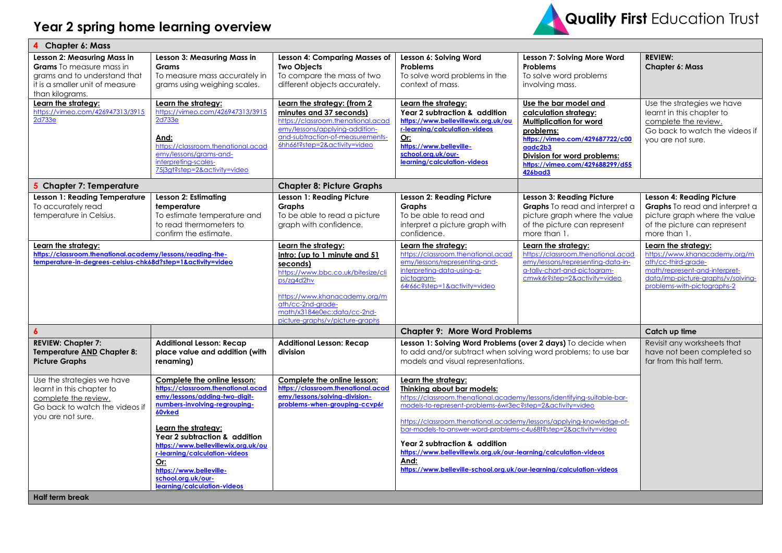

| <b>Chapter 6: Mass</b>                                                                                                                           |                                                                                                                                                                                                                                              |                                                                                                                                                                                                                                              |                                                                                                                                                                                                                                                                                                                                                                                                                                           |                                                                                                                                                                                                                                 |                                                                                                                                                                                   |  |
|--------------------------------------------------------------------------------------------------------------------------------------------------|----------------------------------------------------------------------------------------------------------------------------------------------------------------------------------------------------------------------------------------------|----------------------------------------------------------------------------------------------------------------------------------------------------------------------------------------------------------------------------------------------|-------------------------------------------------------------------------------------------------------------------------------------------------------------------------------------------------------------------------------------------------------------------------------------------------------------------------------------------------------------------------------------------------------------------------------------------|---------------------------------------------------------------------------------------------------------------------------------------------------------------------------------------------------------------------------------|-----------------------------------------------------------------------------------------------------------------------------------------------------------------------------------|--|
| Lesson 2: Measuring Mass in<br>Grams To measure mass in<br>grams and to understand that<br>it is a smaller unit of measure<br>than kilograms.    | Lesson 3: Measuring Mass in<br><b>Grams</b><br>To measure mass accurately in<br>grams using weighing scales.                                                                                                                                 | <b>Lesson 4: Comparing Masses of</b><br><b>Two Objects</b><br>To compare the mass of two<br>different objects accurately.                                                                                                                    | Lesson 6: Solving Word<br><b>Problems</b><br>To solve word problems in the<br>context of mass.                                                                                                                                                                                                                                                                                                                                            | Lesson 7: Solving More Word<br>Problems<br>To solve word problems<br>involving mass.                                                                                                                                            | <b>REVIEW:</b><br><b>Chapter 6: Mass</b>                                                                                                                                          |  |
| Learn the strategy:<br>https://vimeo.com/426947313/3915<br>2d733e                                                                                | Learn the strategy:<br>https://vimeo.com/426947313/3915<br>2d733e<br>And:<br>https://classroom.thenational.acad<br>emy/lessons/grams-and-<br>interpreting-scales-<br>75j3gt?step=2&activity=video                                            | Learn the strategy: (from 2<br>minutes and 37 seconds)<br>https://classroom.thenational.acad<br>emy/lessons/applying-addition-<br>and-subtraction-of-measurements-<br>6hh66t?step=2&activity=video                                           | Learn the strategy:<br>Year 2 subtraction & addition<br>https://www.bellevillewix.org.uk/ou<br>r-learning/calculation-videos<br>Or:<br>https://www.belleville-<br>school.org.uk/our-<br>learning/calculation-videos                                                                                                                                                                                                                       | Use the bar model and<br>calculation strategy:<br><b>Multiplication for word</b><br>problems:<br>https://vimeo.com/429687722/c00<br>aadc2b3<br>Division for word problems:<br>https://vimeo.com/429688299/d55<br><b>426bad3</b> | Use the strategies we have<br>learnt in this chapter to<br>complete the review.<br>Go back to watch the videos if<br>you are not sure.                                            |  |
| 5 Chapter 7: Temperature                                                                                                                         |                                                                                                                                                                                                                                              | <b>Chapter 8: Picture Graphs</b>                                                                                                                                                                                                             |                                                                                                                                                                                                                                                                                                                                                                                                                                           |                                                                                                                                                                                                                                 |                                                                                                                                                                                   |  |
| Lesson 1: Reading Temperature<br>To accurately read<br>temperature in Celsius.                                                                   | Lesson 2: Estimating<br>temperature<br>To estimate temperature and<br>to read thermometers to<br>confirm the estimate.                                                                                                                       | Lesson 1: Reading Picture<br><b>Graphs</b><br>To be able to read a picture<br>graph with confidence.                                                                                                                                         | Lesson 2: Reading Picture<br><b>Graphs</b><br>To be able to read and<br>interpret a picture graph with<br>confidence.                                                                                                                                                                                                                                                                                                                     | <b>Lesson 3: Reading Picture</b><br>Graphs To read and interpret a<br>picture graph where the value<br>of the picture can represent<br>more than 1.                                                                             | Lesson 4: Reading Picture<br>Graphs To read and interpret a<br>picture graph where the value<br>of the picture can represent<br>more than 1.                                      |  |
| Learn the strategy:<br>https://classroom.thenational.academy/lessons/reading-the-<br>temperature-in-degrees-celsius-chk68d?step=1&activity=video |                                                                                                                                                                                                                                              | Learn the strategy:<br>Intro: (up to 1 minute and 51<br>seconds)<br>https://www.bbc.co.uk/bitesize/cli<br>ps/zg4d2hv<br>https://www.khanacademy.org/m<br>ath/cc-2nd-arade-<br>math/x3184e0ec:data/cc-2nd-<br>picture-graphs/v/picture-graphs | Learn the strategy:<br>https://classroom.thenational.acad<br>emy/lessons/representing-and-<br>interpreting-data-using-a-<br>pictogram-<br>64r66c?step=1&activity=video                                                                                                                                                                                                                                                                    | Learn the strategy:<br>https://classroom.thenational.acad<br>emy/lessons/representing-data-in-<br>a-tally-chart-and-pictogram-<br>cmwk6r?step=2&activity=video                                                                  | Learn the strategy:<br>https://www.khanacademy.org/m<br>ath/cc-third-grade-<br>math/represent-and-interpret-<br>data/imp-picture-graphs/v/solving-<br>problems-with-pictographs-2 |  |
| $\boldsymbol{6}$                                                                                                                                 |                                                                                                                                                                                                                                              |                                                                                                                                                                                                                                              | <b>Chapter 9: More Word Problems</b>                                                                                                                                                                                                                                                                                                                                                                                                      |                                                                                                                                                                                                                                 | Catch up time                                                                                                                                                                     |  |
| <b>REVIEW: Chapter 7:</b><br><b>Temperature AND Chapter 8:</b><br><b>Picture Graphs</b>                                                          | <b>Additional Lesson: Recap</b><br>place value and addition (with<br>renaming)                                                                                                                                                               | <b>Additional Lesson: Recap</b><br>division                                                                                                                                                                                                  | Lesson 1: Solving Word Problems (over 2 days) To decide when<br>to add and/or subtract when solving word problems; to use bar<br>models and visual representations.                                                                                                                                                                                                                                                                       |                                                                                                                                                                                                                                 | Revisit any worksheets that<br>have not been completed so<br>far from this half term.                                                                                             |  |
| Use the strategies we have<br>learnt in this chapter to<br>complete the review.<br>Go back to watch the videos if<br>you are not sure.           | Complete the online lesson:<br>https://classroom.thenational.acad<br>emy/lessons/adding-two-digit-<br>numbers-involving-regrouping-<br>60vked<br>Learn the strategy:<br>Year 2 subtraction & addition<br>https://www.bellevillewix.org.uk/ou | Complete the online lesson:<br>https://classroom.thenational.acad<br>emy/lessons/solving-division-<br>problems-when-grouping-ccvp6r                                                                                                          | Learn the strategy:<br>Thinking about bar models:<br>https://classroom.thenational.academy/lessons/identifying-suitable-bar-<br>models-to-represent-problems-6wr3ec?step=2&activity=video<br>https://classroom.thenational.academy/lessons/applying-knowledge-of-<br>bar-models-to-answer-word-problems-c4u68t?step=2&activity=video<br>Year 2 subtraction & addition<br>https://www.bellevillewix.org.uk/our-learning/calculation-videos |                                                                                                                                                                                                                                 |                                                                                                                                                                                   |  |
| <b>Half term break</b>                                                                                                                           | r-learning/calculation-videos<br>Or:<br>https://www.belleville-<br>school.org.uk/our-<br>learning/calculation-videos                                                                                                                         |                                                                                                                                                                                                                                              | And:<br>https://www.belleville-school.org.uk/our-learning/calculation-videos                                                                                                                                                                                                                                                                                                                                                              |                                                                                                                                                                                                                                 |                                                                                                                                                                                   |  |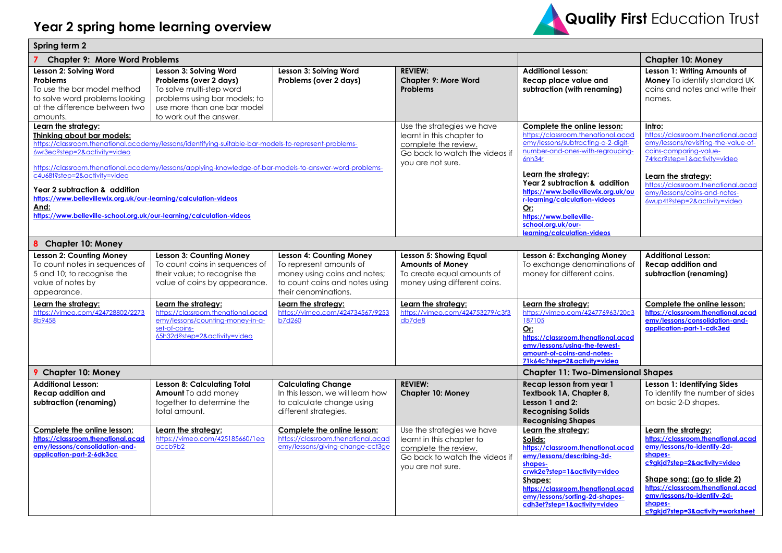

| Spring term 2                                                                                                                                                                                                                                                                                                                                                                                                                                                                                                             |                                                                                                                                                                         |                                                                                                                                                      |                                                                                                                                        |                                                                                                                                                                                                                                                                                                                                                                              |                                                                                                                                                                                                                                                                                        |  |
|---------------------------------------------------------------------------------------------------------------------------------------------------------------------------------------------------------------------------------------------------------------------------------------------------------------------------------------------------------------------------------------------------------------------------------------------------------------------------------------------------------------------------|-------------------------------------------------------------------------------------------------------------------------------------------------------------------------|------------------------------------------------------------------------------------------------------------------------------------------------------|----------------------------------------------------------------------------------------------------------------------------------------|------------------------------------------------------------------------------------------------------------------------------------------------------------------------------------------------------------------------------------------------------------------------------------------------------------------------------------------------------------------------------|----------------------------------------------------------------------------------------------------------------------------------------------------------------------------------------------------------------------------------------------------------------------------------------|--|
| <b>Chapter 9: More Word Problems</b>                                                                                                                                                                                                                                                                                                                                                                                                                                                                                      |                                                                                                                                                                         |                                                                                                                                                      |                                                                                                                                        |                                                                                                                                                                                                                                                                                                                                                                              | <b>Chapter 10: Money</b>                                                                                                                                                                                                                                                               |  |
| Lesson 2: Solving Word<br><b>Problems</b><br>To use the bar model method<br>to solve word problems looking<br>at the difference between two<br>amounts.                                                                                                                                                                                                                                                                                                                                                                   | Lesson 3: Solving Word<br>Problems (over 2 days)<br>To solve multi-step word<br>problems using bar models; to<br>use more than one bar model<br>to work out the answer. | Lesson 3: Solving Word<br>Problems (over 2 days)                                                                                                     | <b>REVIEW:</b><br><b>Chapter 9: More Word</b><br><b>Problems</b>                                                                       | <b>Additional Lesson:</b><br>Recap place value and<br>subtraction (with renaming)                                                                                                                                                                                                                                                                                            | Lesson 1: Writing Amounts of<br>Money To identify standard UK<br>coins and notes and write their<br>names.                                                                                                                                                                             |  |
| Learn the strategy:<br>Thinking about bar models:<br>https://classroom.thenational.academy/lessons/identifying-suitable-bar-models-to-represent-problems-<br>6wr3ec?step=2&activity=video<br>https://classroom.thenational.academy/lessons/applying-knowledge-of-bar-models-to-answer-word-problems-<br>c4u68t?step=2&activity=video<br>Year 2 subtraction & addition<br>https://www.bellevillewix.org.uk/our-learning/calculation-videos<br>And:<br>https://www.belleville-school.org.uk/our-learning/calculation-videos |                                                                                                                                                                         |                                                                                                                                                      | Use the strategies we have<br>learnt in this chapter to<br>complete the review.<br>Go back to watch the videos if<br>you are not sure. | Complete the online lesson:<br>https://classroom.thenational.acad<br>emy/lessons/subtracting-a-2-digit-<br>number-and-ones-with-regrouping-<br>6nh34r<br>Learn the strategy:<br>Year 2 subtraction & addition<br>https://www.bellevillewix.org.uk/ou<br>r-learning/calculation-videos<br>Or:<br>https://www.belleville-<br>school.org.uk/our-<br>learning/calculation-videos | Intro:<br>https://classroom.thenational.acad<br>emy/lessons/revisiting-the-value-of-<br>coins-comparing-value-<br>74rkcr?step=1&activity=video<br>Learn the strategy:<br>https://classroom.thenational.acad<br>emy/lessons/coins-and-notes-<br>6wup4t?step=2&activity=video            |  |
| 8 Chapter 10: Money                                                                                                                                                                                                                                                                                                                                                                                                                                                                                                       |                                                                                                                                                                         |                                                                                                                                                      |                                                                                                                                        |                                                                                                                                                                                                                                                                                                                                                                              |                                                                                                                                                                                                                                                                                        |  |
| <b>Lesson 2: Counting Money</b><br>To count notes in sequences of<br>5 and 10; to recognise the<br>value of notes by<br>appearance.                                                                                                                                                                                                                                                                                                                                                                                       | <b>Lesson 3: Counting Money</b><br>To count coins in sequences of<br>their value; to recognise the<br>value of coins by appearance.                                     | <b>Lesson 4: Counting Money</b><br>To represent amounts of<br>money using coins and notes;<br>to count coins and notes using<br>their denominations. | Lesson 5: Showing Equal<br><b>Amounts of Money</b><br>To create equal amounts of<br>money using different coins.                       | Lesson 6: Exchanging Money<br>To exchange denominations of<br>money for different coins.                                                                                                                                                                                                                                                                                     | <b>Additional Lesson:</b><br><b>Recap addition and</b><br>subtraction (renaming)                                                                                                                                                                                                       |  |
| Learn the strategy:<br>https://vimeo.com/424728802/2273<br>8b9458                                                                                                                                                                                                                                                                                                                                                                                                                                                         | Learn the strategy:<br>https://classroom.thenational.acad<br>emy/lessons/counting-money-in-a-<br>set-of-coins-<br>65h32d?step=2&activity=video                          | Learn the strategy:<br>https://vimeo.com/424734567/9253<br><b>b7d260</b>                                                                             | Learn the strategy:<br>https://vimeo.com/424753279/c3f3<br>db7de8                                                                      | Learn the strategy:<br>https://vimeo.com/424776963/20e3<br>187105<br>Or:<br>https://classroom.thenational.acad<br>emy/lessons/using-the-fewest-<br>amount-of-coins-and-notes-<br>71k64c?step=2&activity=video                                                                                                                                                                | Complete the online lesson:<br>https://classroom.thenational.acad<br>emy/lessons/consolidation-and-<br>application-part-1-cdk3ed                                                                                                                                                       |  |
| <b>9 Chapter 10: Money</b>                                                                                                                                                                                                                                                                                                                                                                                                                                                                                                |                                                                                                                                                                         |                                                                                                                                                      |                                                                                                                                        | <b>Chapter 11: Two-Dimensional Shapes</b>                                                                                                                                                                                                                                                                                                                                    |                                                                                                                                                                                                                                                                                        |  |
| <b>Additional Lesson:</b><br><b>Recap addition and</b><br>subtraction (renaming)                                                                                                                                                                                                                                                                                                                                                                                                                                          | Lesson 8: Calculating Total<br><b>Amount</b> To add money<br>together to determine the<br>total amount.                                                                 | <b>Calculating Change</b><br>In this lesson, we will learn how<br>to calculate change using<br>different strategies.                                 | <b>REVIEW:</b><br><b>Chapter 10: Money</b>                                                                                             | Recap lesson from year 1<br>Textbook 1A, Chapter 8,<br>Lesson 1 and 2:<br><b>Recognising Solids</b><br><b>Recognising Shapes</b>                                                                                                                                                                                                                                             | Lesson 1: Identifying Sides<br>To identify the number of sides<br>on basic 2-D shapes.                                                                                                                                                                                                 |  |
| Complete the online lesson:<br>https://classroom.thenational.acad<br>emy/lessons/consolidation-and-<br>application-part-2-6dk3cc                                                                                                                                                                                                                                                                                                                                                                                          | Learn the strategy:<br>https://vimeo.com/425185660/1ea<br>accb9b2                                                                                                       | Complete the online lesson:<br>https://classroom.thenational.acad<br>emy/lessons/giving-change-cct3ge                                                | Use the strategies we have<br>learnt in this chapter to<br>complete the review.<br>Go back to watch the videos if<br>you are not sure. | Learn the strategy:<br>Solids:<br>https://classroom.thenational.acad<br>emy/lessons/describing-3d-<br>shapes-<br>crwk2e?step=1&activity=video<br>Shapes:<br>https://classroom.thenational.acad<br>emy/lessons/sorting-2d-shapes-<br>cdh3et?step=1&activity=video                                                                                                             | Learn the strategy:<br>https://classroom.thenational.acad<br>emy/lessons/to-identify-2d-<br>shapes-<br>c9akjd?step=2&activity=video<br>Shape song: (go to slide 2)<br>https://classroom.thenational.acad<br>emy/lessons/to-identify-2d-<br>shapes-<br>c9gkjd?step=3&activity=worksheet |  |